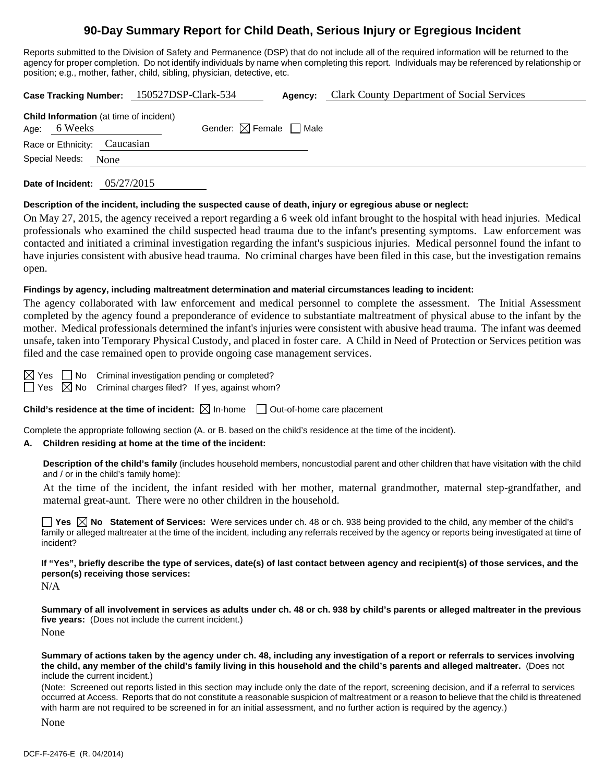# **90-Day Summary Report for Child Death, Serious Injury or Egregious Incident**

Reports submitted to the Division of Safety and Permanence (DSP) that do not include all of the required information will be returned to the agency for proper completion. Do not identify individuals by name when completing this report. Individuals may be referenced by relationship or position; e.g., mother, father, child, sibling, physician, detective, etc.

| Case Tracking Number: 150527DSP-Clark-534 |                                                                |      |  | Agency:                                | <b>Clark County Department of Social Services</b> |  |  |
|-------------------------------------------|----------------------------------------------------------------|------|--|----------------------------------------|---------------------------------------------------|--|--|
|                                           | <b>Child Information</b> (at time of incident)<br>Age: 6 Weeks |      |  | Gender: $\boxtimes$ Female $\Box$ Male |                                                   |  |  |
|                                           | Race or Ethnicity: Caucasian                                   |      |  |                                        |                                                   |  |  |
|                                           | Special Needs:                                                 | None |  |                                        |                                                   |  |  |
|                                           |                                                                |      |  |                                        |                                                   |  |  |

**Date of Incident:** 05/27/2015

#### **Description of the incident, including the suspected cause of death, injury or egregious abuse or neglect:**

On May 27, 2015, the agency received a report regarding a 6 week old infant brought to the hospital with head injuries. Medical professionals who examined the child suspected head trauma due to the infant's presenting symptoms. Law enforcement was contacted and initiated a criminal investigation regarding the infant's suspicious injuries. Medical personnel found the infant to have injuries consistent with abusive head trauma. No criminal charges have been filed in this case, but the investigation remains open.

#### **Findings by agency, including maltreatment determination and material circumstances leading to incident:**

The agency collaborated with law enforcement and medical personnel to complete the assessment. The Initial Assessment completed by the agency found a preponderance of evidence to substantiate maltreatment of physical abuse to the infant by the mother. Medical professionals determined the infant's injuries were consistent with abusive head trauma. The infant was deemed unsafe, taken into Temporary Physical Custody, and placed in foster care. A Child in Need of Protection or Services petition was filed and the case remained open to provide ongoing case management services.

 $\boxtimes$  Yes  $\Box$  No Criminal investigation pending or completed?

 $\Box$  Yes  $\boxtimes$  No Criminal charges filed? If yes, against whom?

**Child's residence at the time of incident:**  $\boxtimes$  In-home  $\Box$  Out-of-home care placement

Complete the appropriate following section (A. or B. based on the child's residence at the time of the incident).

#### **A. Children residing at home at the time of the incident:**

**Description of the child's family** (includes household members, noncustodial parent and other children that have visitation with the child and / or in the child's family home):

 At the time of the incident, the infant resided with her mother, maternal grandmother, maternal step-grandfather, and maternal great-aunt. There were no other children in the household.

**Yes**  $\boxtimes$  **No** Statement of Services: Were services under ch. 48 or ch. 938 being provided to the child, any member of the child's family or alleged maltreater at the time of the incident, including any referrals received by the agency or reports being investigated at time of incident?

**If "Yes", briefly describe the type of services, date(s) of last contact between agency and recipient(s) of those services, and the person(s) receiving those services:** 

N/A

**Summary of all involvement in services as adults under ch. 48 or ch. 938 by child's parents or alleged maltreater in the previous five years:** (Does not include the current incident.) None

**Summary of actions taken by the agency under ch. 48, including any investigation of a report or referrals to services involving the child, any member of the child's family living in this household and the child's parents and alleged maltreater.** (Does not include the current incident.)

(Note: Screened out reports listed in this section may include only the date of the report, screening decision, and if a referral to services occurred at Access. Reports that do not constitute a reasonable suspicion of maltreatment or a reason to believe that the child is threatened with harm are not required to be screened in for an initial assessment, and no further action is required by the agency.)

None